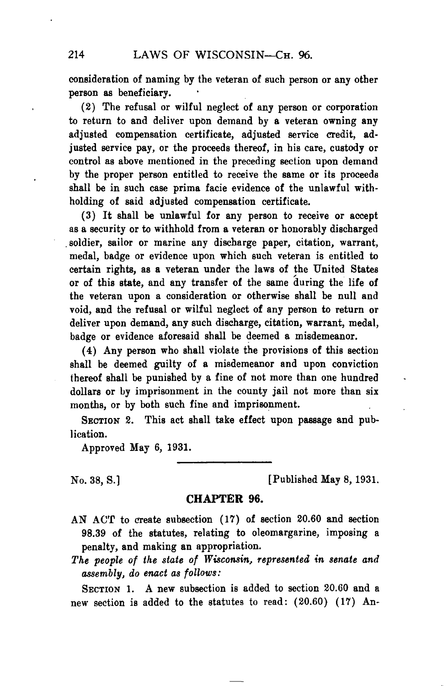consideration of naming by the veteran of such person or any other person as beneficiary.

(2) The refusal or wilful neglect of any person or corporation to return to and deliver upon demand by a veteran owning any adjusted compensation certificate, adjusted service credit, adjusted service pay, or the proceeds thereof, in his care, custody or control as above mentioned in the preceding section upon demand by the proper person entitled to receive the same or its proceeds shall be in such case prima facie evidence of the unlawful withholding of said adjusted compensation certificate.

(3) It shall be unlawful for any person to receive or accept as a security or to withhold from a veteran or honorably discharged soldier, sailor or marine any discharge paper, citation, warrant, medal, badge or evidence upon which such veteran is entitled to certain rights, as a veteran under the laws of the United States or of this state, and any transfer of the same 'during the life of the veteran upon a consideration or otherwise shall be null and void, and the refusal or wilful neglect of any person to return or deliver upon demand, any such discharge, citation, warrant, medal, badge or evidence aforesaid shall be deemed a misdemeanor.

(4) Any person who shall violate the provisions of this section shall be deemed guilty of a misdemeanor and upon conviction thereof shall be punished by a fine of not more than one hundred dollars or by imprisonment in the county jail not more than six months, or by both such fine and imprisonment.

**SECTION** 2. This act shall take effect upon passage and publication.

Approved May 6, 1931.

No. 38, S.] [Published May 8, 1931.

## **CHAPTER 96.**

- AN ACT to create subsection (17) of section 20.60 and section 98.39 of the statutes, relating to oleomargarine, imposing a penalty, and making an appropriation.
- *The people of the state of Wisconsin, represented in senate and assembly, do enact as follows:*

**SECTION** 1. A new subsection is added to section 20.60 and a new section is added to the statutes to read: (20.60) (17) An-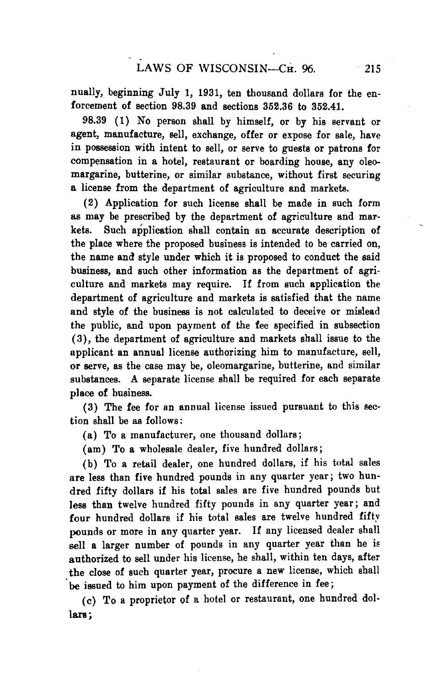nually, beginning July 1, 1931, ten thousand dollars for the enforcement of section 98.39 and sections 352.36 to 352.41.

98.39 (1) No person shall by himself, or by his servant or agent, manufacture, sell, exchange, offer or expose for sale, have in possession with intent to sell, or serve to guests or patrons for compensation in a hotel, restaurant or boarding house, any oleomargarine, butterine, or similar substance, without first securing **a** license from the department of agriculture and markets.

(2) Application for such license shall be made in such form as may be prescribed by the department of agriculture and markets. Such application shall contain an accurate description of the place where the proposed business is intended to be carried on, the name and style under which it is proposed to conduct the said business, and such other information as the department of agriculture and markets may require. If from such application the department of agriculture and markets is satisfied that the name and style of the business is not calculated to deceive or mislead the public, and upon payment of the fee specified in subsection (3), the department of agriculture and markets shall issue to the applicant an annual license authorizing him to manufacture, sell, or serve, as the case may be, oleomargarine, butterine, and similar substances. A separate license shall be required for each separate place of business.

(3) The fee for an annual license issued pursuant to this section shall be as follows:

(a) To a manufacturer, one thousand dollars;

(am) To a wholesale dealer, five hundred dollars;

(b) To a retail dealer, one hundred dollars, if his total sales are less than five hundred pounds in any quarter year; two hundred fifty dollars if his total sales are five hundred pounds but less than twelve hundred fifty pounds in any quarter year; and four hundred dollars if his total sales are twelve hundred fifty pounds or more in any quarter year. If any licensed dealer shall sell a larger number of pounds in any quarter year than he is authorized to sell under his license, he shall, within ten days, after the close of such quarter year, procure a new license, which shall be issued to him upon payment of the difference in fee;

(c) To a proprietor of a hotel or restaurant, one hundred dollars;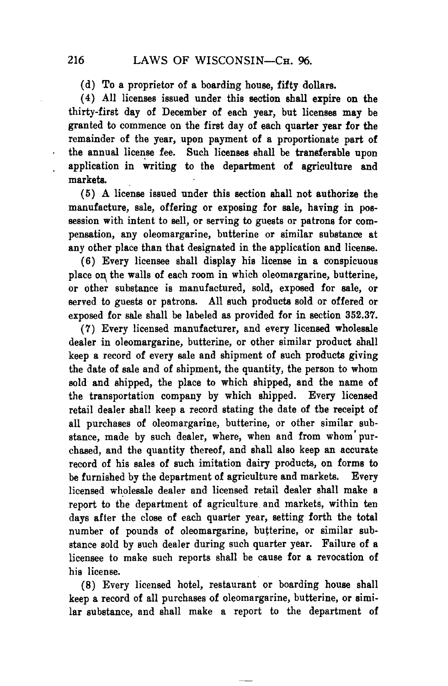(d) To a proprietor of a boarding house, fifty dollars.

(4) All licenses issued under this section shall expire on the thirty-first day of December of each year, but licenses may be granted to commence on the first day of each quarter year for the remainder of the year, upon payment of a proportionate part of the annual license fee. Such licenses shall be transferable upon application in writing to the department of agriculture and markets.

(5) A license issued under this section shall not authorize the manufacture, sale, offering or exposing for sale, having in possession with intent to sell, or serving to guests or patrons for compensation, any oleomargarine, butterine or similar substance at any other place than that designated in the application and license.

(6) Every licensee shall display his license in a conspicuous place on the walls of each room in which oleomargarine, butterine, or other substance is manufactured, sold, exposed for sale, or served to guests or patrons. All such products sold or offered or exposed for sale shall be labeled as provided for in section 352.37.

(7) Every licensed manufacturer, and every licensed wholesale dealer in oleomargarine, butterine, or other similar product shall keep a record of every sale and shipment of such products giving the date of sale and of shipment, the quantity, the person to whom sold and shipped, the place to which shipped, and the name of the transportation company by which shipped. Every licensed retail dealer shall keep a record stating the date of the receipt of all purchases of oleomargarine, butterine, or other similar substance, made by such dealer, where, when and from whom' purchased, and the quantity thereof, and shall also keep an accurate record of his sales of such imitation dairy products, on forms to be furnished by the department of agriculture and markets. Every licensed wholesale dealer and licensed retail dealer shall make a report to the department of agriculture and markets, within ten days after the close of each quarter *year,* setting forth the total number of pounds of oleomargarine, butterine, or similar substance sold by such dealer during such quarter year. Failure of a licensee to make such reports shall be cause for a revocation of his license.

(8) Every licensed hotel, restaurant or boarding house shall keep a record of all purchases of oleomargarine, butterine, or similar substance, and shall make a report to the department of